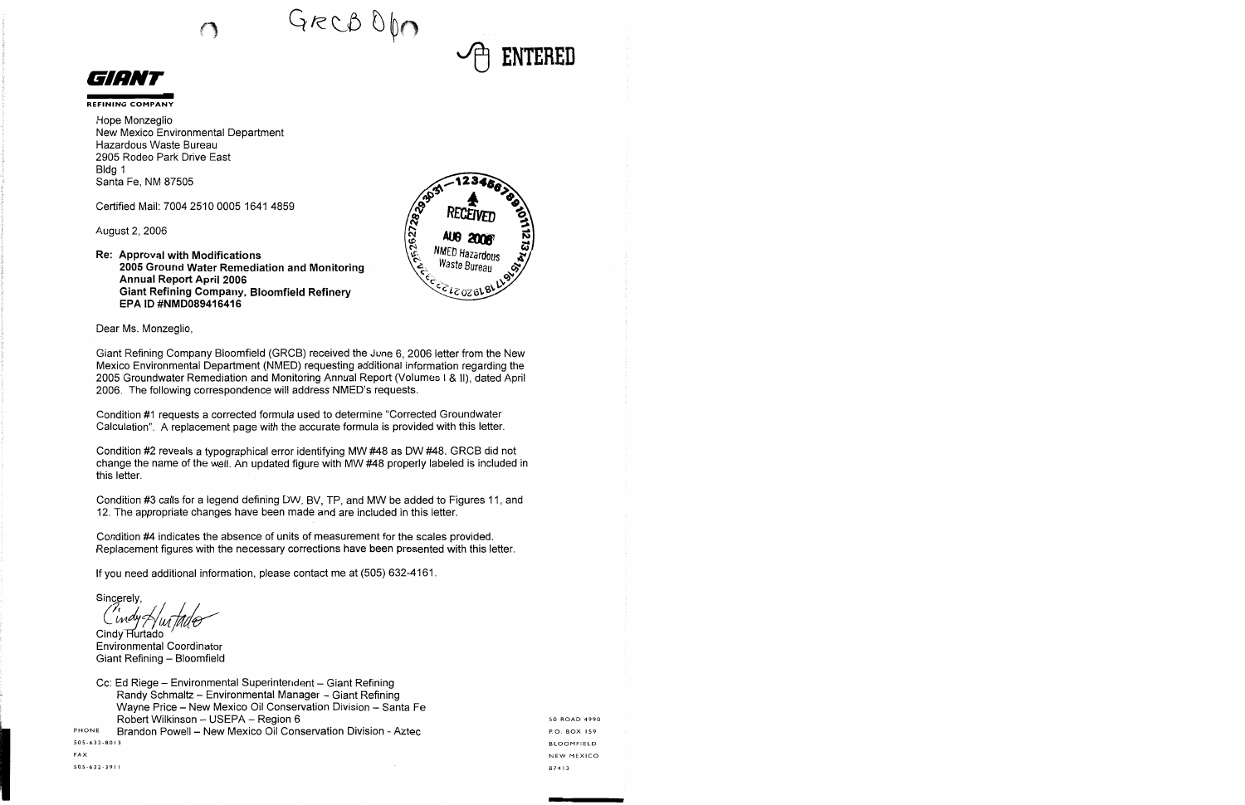$GrecBDD$ 



**REFINING COMPANY** 

Hope Monzeglio New Mexico Environmental Department Hazardous Waste Bureau 2905 Rodeo Park Drive East Bldg 1 Santa Fe, NM 87505

Certified Mail: 7004 2510 0005 1641 4859

August 2, 2006

## **Re: Approval with Modifications 2005 Ground Water Remediation and Monitoring Annual Report April 2006 Giant Refining Company, Bloomfield Refinery EPA ID #NMD089416416**



**ENTERED** 

Dear Ms. Monzeglio,

Giant Refining Company Bloomfield (GRCB) received the June 6, 2006 letter from the New Mexico Environmental Department (NMED) requesting additional information regarding the 2005 Groundwater Remediation and Monitoring Annual Report (Volumes I & II), dated April 2006. The following correspondence will address NMED's requests.

Condition #1 requests a corrected formula used to determine "Corrected Groundwater Calculation". A replacement page with the accurate formula is provided with this letter.

Condition #2 reveals a typographical error identifying MW #48 as OW #48. GRCB did not change the name of the well. An updated figure with MW #48 properly labeled is included in this letter.

Condition #3 calls for a legend defining OW, BV, TP, and MW be added to Figures 11, and 12. The appropriate changes have been made and are included in this letter.

Condition #4 indicates the absence of units of measurement for the scales provided. Replacement figures with the necessary corrections have been presented with this letter.

If you need additional information, please contact me at (505) 632-4161.

Sincerely,<br>*Cindy Au*<br>Cindy Hurtado

Environmental Coordinator Giant Refining - Bloomfield

Cc: Ed Riege - Environmental Superintendent - Giant Refining Randy Schmaltz - Environmental Manager - Giant Refining Wayne Price - New Mexico Oil Conservation Division - Santa Fe Robert Wilkinson - USEPA - Region 6

PHONE Brandon Powell - New Mexico Oil Conservation Division - Aztec 505-632-80 I 3

50 ROAD 4990 P.O. BOX 159 BLOOMFIELD NEW MEXICO 87413

505-632-391 I

FAX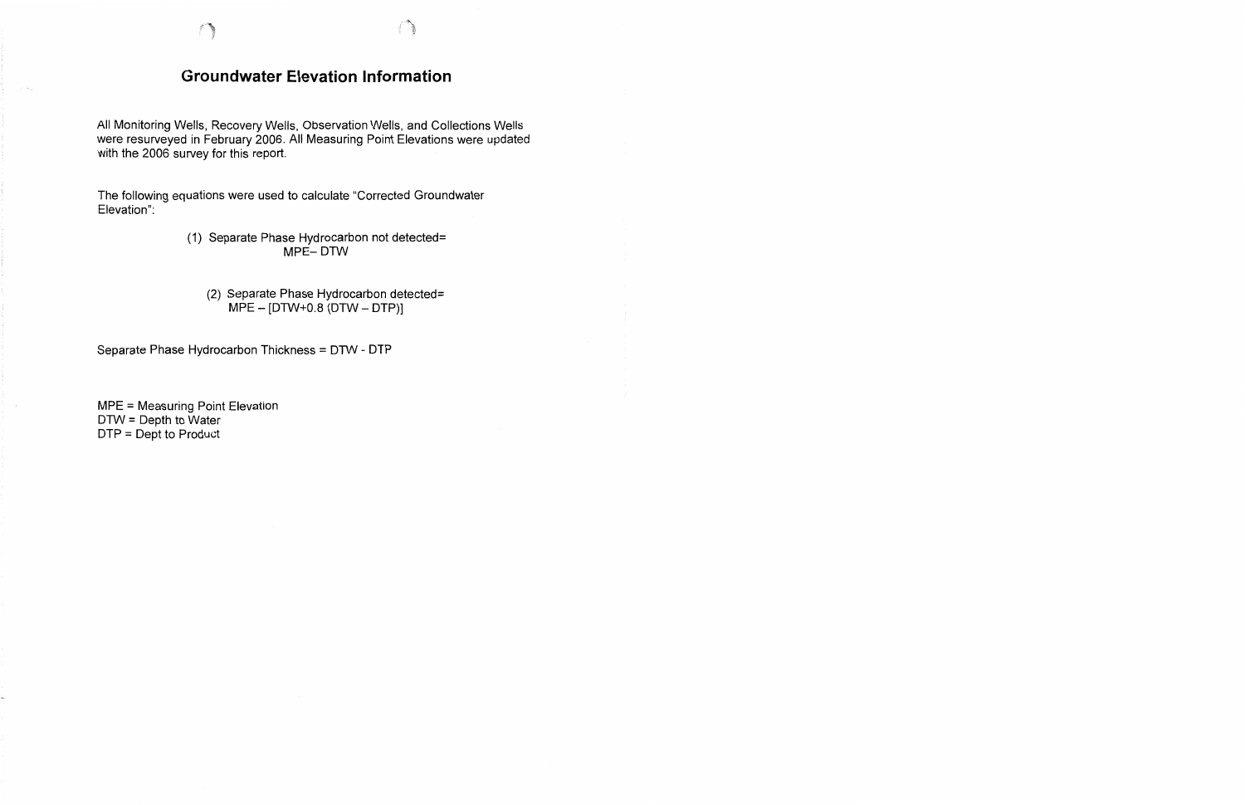## **Groundwater Elevation Information**

All Monitoring Wells, Recovery Wells, Observation Wells, and Collections Wells were resurveyed in February 2006. All Measuring Point Elevations were updated with the 2006 survey for this report.

The following equations were used to calculate "Corrected Groundwater Elevation":

## (1) Separate Phase Hydrocarbon not detected= MPE-DTW

(2) Separate Phase Hydrocarbon detected=  $MPE - [DTW+0.8 (DTW - DTP)]$ 

Separate Phase Hydrocarbon Thickness = DTW - DTP

MPE = Measuring Point Elevation DTW = Depth to Water DTP = Dept to Product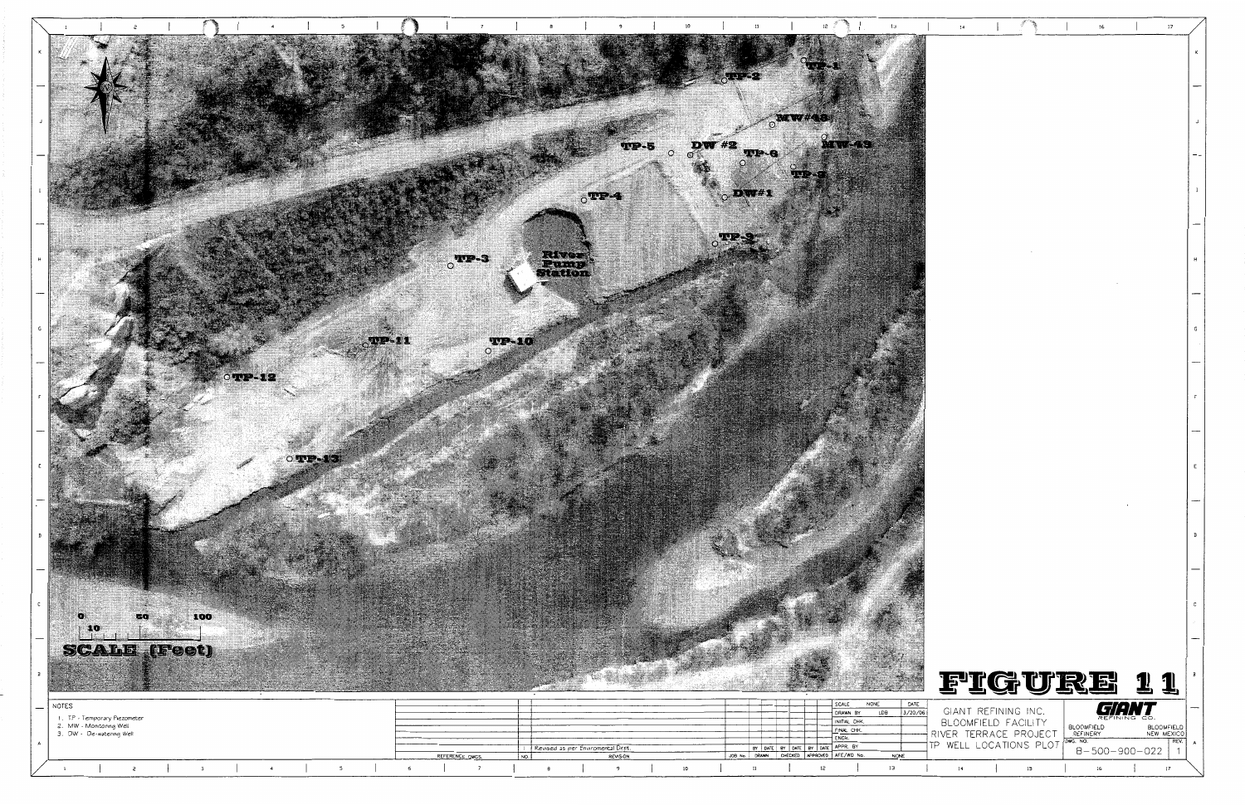